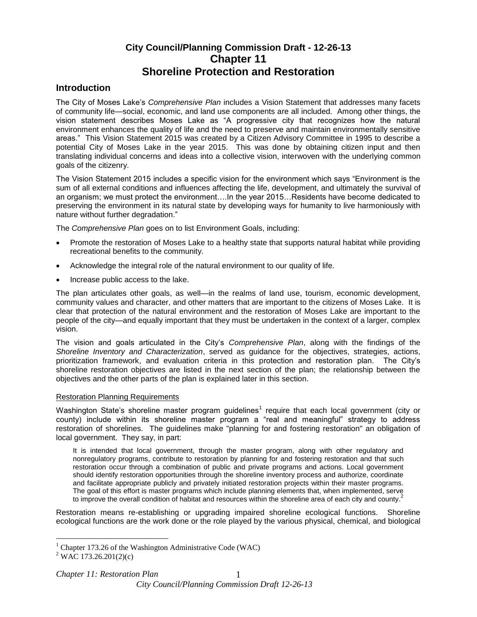# **City Council/Planning Commission Draft - 12-26-13 Chapter 11 Shoreline Protection and Restoration**

## **Introduction**

The City of Moses Lake's *Comprehensive Plan* includes a Vision Statement that addresses many facets of community life—social, economic, and land use components are all included. Among other things, the vision statement describes Moses Lake as "A progressive city that recognizes how the natural environment enhances the quality of life and the need to preserve and maintain environmentally sensitive areas." This Vision Statement 2015 was created by a Citizen Advisory Committee in 1995 to describe a potential City of Moses Lake in the year 2015. This was done by obtaining citizen input and then translating individual concerns and ideas into a collective vision, interwoven with the underlying common goals of the citizenry.

The Vision Statement 2015 includes a specific vision for the environment which says "Environment is the sum of all external conditions and influences affecting the life, development, and ultimately the survival of an organism; we must protect the environment….In the year 2015…Residents have become dedicated to preserving the environment in its natural state by developing ways for humanity to live harmoniously with nature without further degradation."

The *Comprehensive Plan* goes on to list Environment Goals, including:

- Promote the restoration of Moses Lake to a healthy state that supports natural habitat while providing recreational benefits to the community.
- Acknowledge the integral role of the natural environment to our quality of life.
- Increase public access to the lake.

The plan articulates other goals, as well—in the realms of land use, tourism, economic development, community values and character, and other matters that are important to the citizens of Moses Lake. It is clear that protection of the natural environment and the restoration of Moses Lake are important to the people of the city—and equally important that they must be undertaken in the context of a larger, complex vision.

The vision and goals articulated in the City's *Comprehensive Plan*, along with the findings of the *Shoreline Inventory and Characterization*, served as guidance for the objectives, strategies, actions, prioritization framework, and evaluation criteria in this protection and restoration plan. The City's shoreline restoration objectives are listed in the next section of the plan; the relationship between the objectives and the other parts of the plan is explained later in this section.

#### Restoration Planning Requirements

Washington State's shoreline master program guidelines<sup>1</sup> require that each local government (city or county) include within its shoreline master program a "real and meaningful" strategy to address restoration of shorelines. The guidelines make "planning for and fostering restoration" an obligation of local government. They say, in part:

It is intended that local government, through the master program, along with other regulatory and nonregulatory programs, contribute to restoration by planning for and fostering restoration and that such restoration occur through a combination of public and private programs and actions. Local government should identify restoration opportunities through the shoreline inventory process and authorize, coordinate and facilitate appropriate publicly and privately initiated restoration projects within their master programs. The goal of this effort is master programs which include planning elements that, when implemented, serve to improve the overall condition of habitat and resources within the shoreline area of each city and county.<sup>2</sup>

Restoration means re-establishing or upgrading impaired shoreline ecological functions. Shoreline ecological functions are the work done or the role played by the various physical, chemical, and biological

 $\overline{a}$ 

 $1$  Chapter 173.26 of the Washington Administrative Code (WAC)

 $2$  WAC 173.26.201(2)(c)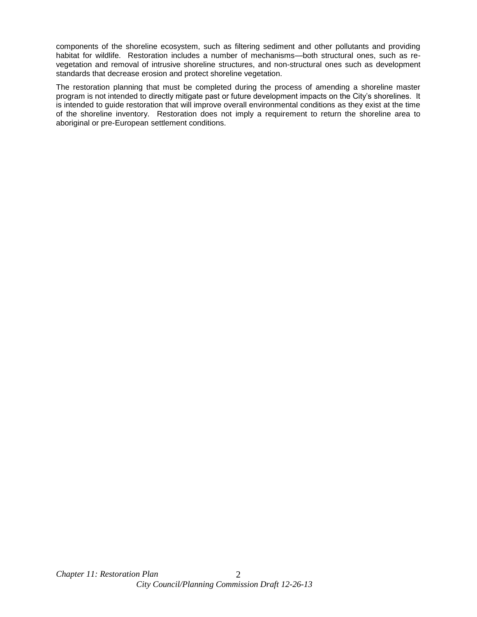components of the shoreline ecosystem, such as filtering sediment and other pollutants and providing habitat for wildlife. Restoration includes a number of mechanisms—both structural ones, such as revegetation and removal of intrusive shoreline structures, and non-structural ones such as development standards that decrease erosion and protect shoreline vegetation.

The restoration planning that must be completed during the process of amending a shoreline master program is not intended to directly mitigate past or future development impacts on the City's shorelines. It is intended to guide restoration that will improve overall environmental conditions as they exist at the time of the shoreline inventory. Restoration does not imply a requirement to return the shoreline area to aboriginal or pre-European settlement conditions.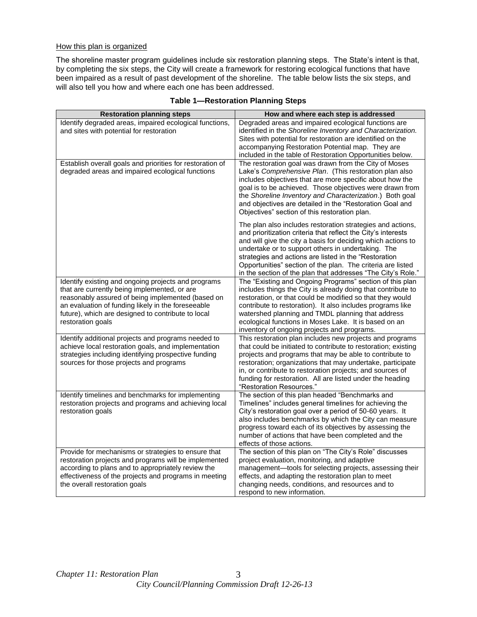#### How this plan is organized

The shoreline master program guidelines include six restoration planning steps. The State's intent is that, by completing the six steps, the City will create a framework for restoring ecological functions that have been impaired as a result of past development of the shoreline. The table below lists the six steps, and will also tell you how and where each one has been addressed.

| <b>Restoration planning steps</b>                                                                                                                                                                                                                                                         | How and where each step is addressed                                                                                                                                                                                                                                                                                                                                                                                                      |
|-------------------------------------------------------------------------------------------------------------------------------------------------------------------------------------------------------------------------------------------------------------------------------------------|-------------------------------------------------------------------------------------------------------------------------------------------------------------------------------------------------------------------------------------------------------------------------------------------------------------------------------------------------------------------------------------------------------------------------------------------|
| Identify degraded areas, impaired ecological functions,<br>and sites with potential for restoration<br>Establish overall goals and priorities for restoration of                                                                                                                          | Degraded areas and impaired ecological functions are<br>identified in the Shoreline Inventory and Characterization.<br>Sites with potential for restoration are identified on the<br>accompanying Restoration Potential map. They are<br>included in the table of Restoration Opportunities below.<br>The restoration goal was drawn from the City of Moses                                                                               |
| degraded areas and impaired ecological functions                                                                                                                                                                                                                                          | Lake's Comprehensive Plan. (This restoration plan also<br>includes objectives that are more specific about how the<br>goal is to be achieved. Those objectives were drawn from<br>the Shoreline Inventory and Characterization.) Both goal<br>and objectives are detailed in the "Restoration Goal and<br>Objectives" section of this restoration plan.                                                                                   |
|                                                                                                                                                                                                                                                                                           | The plan also includes restoration strategies and actions,<br>and prioritization criteria that reflect the City's interests<br>and will give the city a basis for deciding which actions to<br>undertake or to support others in undertaking. The<br>strategies and actions are listed in the "Restoration<br>Opportunities" section of the plan. The criteria are listed<br>in the section of the plan that addresses "The City's Role." |
| Identify existing and ongoing projects and programs<br>that are currently being implemented, or are<br>reasonably assured of being implemented (based on<br>an evaluation of funding likely in the foreseeable<br>future), which are designed to contribute to local<br>restoration goals | The "Existing and Ongoing Programs" section of this plan<br>includes things the City is already doing that contribute to<br>restoration, or that could be modified so that they would<br>contribute to restoration). It also includes programs like<br>watershed planning and TMDL planning that address<br>ecological functions in Moses Lake. It is based on an<br>inventory of ongoing projects and programs.                          |
| Identify additional projects and programs needed to<br>achieve local restoration goals, and implementation<br>strategies including identifying prospective funding<br>sources for those projects and programs                                                                             | This restoration plan includes new projects and programs<br>that could be initiated to contribute to restoration; existing<br>projects and programs that may be able to contribute to<br>restoration; organizations that may undertake, participate<br>in, or contribute to restoration projects; and sources of<br>funding for restoration. All are listed under the heading<br>"Restoration Resources."                                 |
| Identify timelines and benchmarks for implementing<br>restoration projects and programs and achieving local<br>restoration goals                                                                                                                                                          | The section of this plan headed "Benchmarks and<br>Timelines" includes general timelines for achieving the<br>City's restoration goal over a period of 50-60 years. It<br>also includes benchmarks by which the City can measure<br>progress toward each of its objectives by assessing the<br>number of actions that have been completed and the<br>effects of those actions.                                                            |
| Provide for mechanisms or strategies to ensure that<br>restoration projects and programs will be implemented<br>according to plans and to appropriately review the<br>effectiveness of the projects and programs in meeting<br>the overall restoration goals                              | The section of this plan on "The City's Role" discusses<br>project evaluation, monitoring, and adaptive<br>management-tools for selecting projects, assessing their<br>effects, and adapting the restoration plan to meet<br>changing needs, conditions, and resources and to<br>respond to new information.                                                                                                                              |

## **Table 1—Restoration Planning Steps**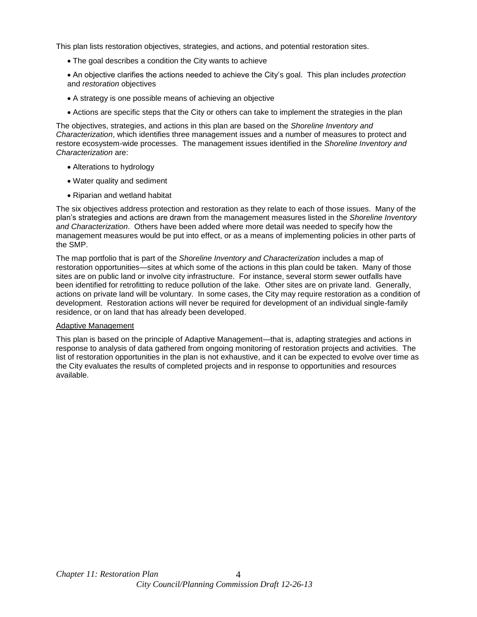This plan lists restoration objectives, strategies, and actions, and potential restoration sites.

- The goal describes a condition the City wants to achieve
- An objective clarifies the actions needed to achieve the City's goal. This plan includes *protection* and *restoration* objectives
- A strategy is one possible means of achieving an objective
- Actions are specific steps that the City or others can take to implement the strategies in the plan

The objectives, strategies, and actions in this plan are based on the *Shoreline Inventory and Characterization*, which identifies three management issues and a number of measures to protect and restore ecosystem-wide processes. The management issues identified in the *Shoreline Inventory and Characterization* are:

- Alterations to hydrology
- Water quality and sediment
- Riparian and wetland habitat

The six objectives address protection and restoration as they relate to each of those issues. Many of the plan's strategies and actions are drawn from the management measures listed in the *Shoreline Inventory and Characterization*. Others have been added where more detail was needed to specify how the management measures would be put into effect, or as a means of implementing policies in other parts of the SMP.

The map portfolio that is part of the *Shoreline Inventory and Characterization* includes a map of restoration opportunities—sites at which some of the actions in this plan could be taken. Many of those sites are on public land or involve city infrastructure. For instance, several storm sewer outfalls have been identified for retrofitting to reduce pollution of the lake. Other sites are on private land. Generally, actions on private land will be voluntary. In some cases, the City may require restoration as a condition of development. Restoration actions will never be required for development of an individual single-family residence, or on land that has already been developed.

#### Adaptive Management

This plan is based on the principle of Adaptive Management—that is, adapting strategies and actions in response to analysis of data gathered from ongoing monitoring of restoration projects and activities. The list of restoration opportunities in the plan is not exhaustive, and it can be expected to evolve over time as the City evaluates the results of completed projects and in response to opportunities and resources available.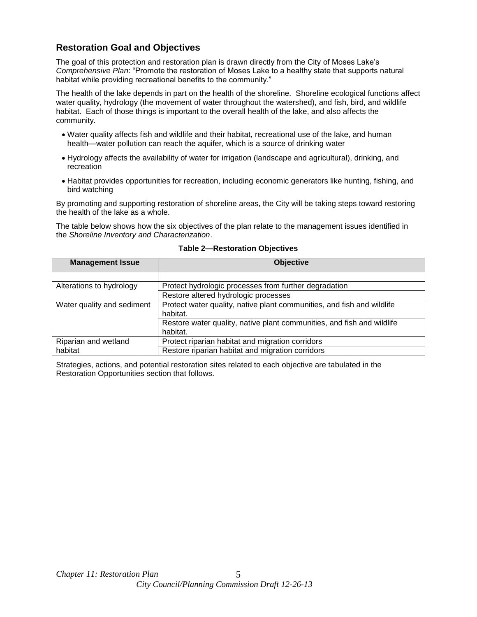## **Restoration Goal and Objectives**

The goal of this protection and restoration plan is drawn directly from the City of Moses Lake's *Comprehensive Plan*: "Promote the restoration of Moses Lake to a healthy state that supports natural habitat while providing recreational benefits to the community."

The health of the lake depends in part on the health of the shoreline. Shoreline ecological functions affect water quality, hydrology (the movement of water throughout the watershed), and fish, bird, and wildlife habitat. Each of those things is important to the overall health of the lake, and also affects the community.

- Water quality affects fish and wildlife and their habitat, recreational use of the lake, and human health—water pollution can reach the aquifer, which is a source of drinking water
- Hydrology affects the availability of water for irrigation (landscape and agricultural), drinking, and recreation
- Habitat provides opportunities for recreation, including economic generators like hunting, fishing, and bird watching

By promoting and supporting restoration of shoreline areas, the City will be taking steps toward restoring the health of the lake as a whole.

The table below shows how the six objectives of the plan relate to the management issues identified in the *Shoreline Inventory and Characterization*.

| <b>Management Issue</b>    | <b>Objective</b>                                                       |
|----------------------------|------------------------------------------------------------------------|
|                            |                                                                        |
| Alterations to hydrology   | Protect hydrologic processes from further degradation                  |
|                            | Restore altered hydrologic processes                                   |
| Water quality and sediment | Protect water quality, native plant communities, and fish and wildlife |
|                            | habitat.                                                               |
|                            | Restore water quality, native plant communities, and fish and wildlife |
|                            | habitat.                                                               |
| Riparian and wetland       | Protect riparian habitat and migration corridors                       |
| habitat                    | Restore riparian habitat and migration corridors                       |

#### **Table 2—Restoration Objectives**

Strategies, actions, and potential restoration sites related to each objective are tabulated in the Restoration Opportunities section that follows.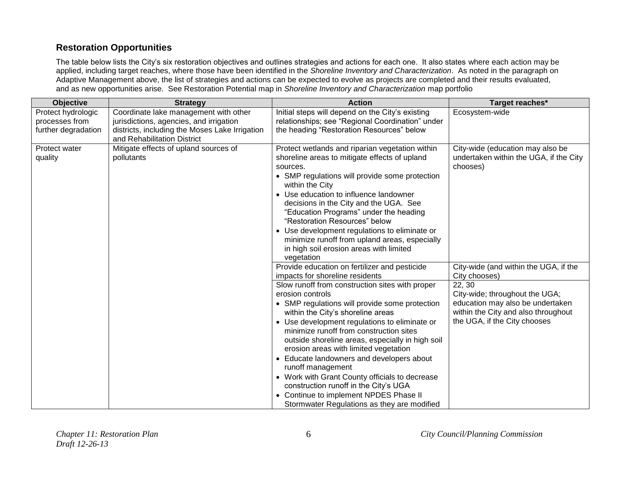# **Restoration Opportunities**

The table below lists the City's six restoration objectives and outlines strategies and actions for each one. It also states where each action may be applied, including target reaches, where those have been identified in the *Shoreline Inventory and Characterization*. As noted in the paragraph on Adaptive Management above, the list of strategies and actions can be expected to evolve as projects are completed and their results evaluated, and as new opportunities arise. See Restoration Potential map in *Shoreline Inventory and Characterization* map portfolio

| Objective           | <b>Strategy</b>                                | <b>Action</b>                                                                       | Target reaches*                                                    |
|---------------------|------------------------------------------------|-------------------------------------------------------------------------------------|--------------------------------------------------------------------|
| Protect hydrologic  | Coordinate lake management with other          | Initial steps will depend on the City's existing                                    | Ecosystem-wide                                                     |
| processes from      | jurisdictions, agencies, and irrigation        | relationships; see "Regional Coordination" under                                    |                                                                    |
| further degradation | districts, including the Moses Lake Irrigation | the heading "Restoration Resources" below                                           |                                                                    |
|                     | and Rehabilitation District                    |                                                                                     |                                                                    |
| Protect water       | Mitigate effects of upland sources of          | Protect wetlands and riparian vegetation within                                     | City-wide (education may also be                                   |
| quality             | pollutants                                     | shoreline areas to mitigate effects of upland                                       | undertaken within the UGA, if the City                             |
|                     |                                                | sources.                                                                            | chooses)                                                           |
|                     |                                                | • SMP regulations will provide some protection<br>within the City                   |                                                                    |
|                     |                                                | • Use education to influence landowner                                              |                                                                    |
|                     |                                                | decisions in the City and the UGA. See                                              |                                                                    |
|                     |                                                | "Education Programs" under the heading                                              |                                                                    |
|                     |                                                | "Restoration Resources" below                                                       |                                                                    |
|                     |                                                | • Use development regulations to eliminate or                                       |                                                                    |
|                     |                                                | minimize runoff from upland areas, especially                                       |                                                                    |
|                     |                                                | in high soil erosion areas with limited                                             |                                                                    |
|                     |                                                | vegetation                                                                          |                                                                    |
|                     |                                                | Provide education on fertilizer and pesticide                                       | City-wide (and within the UGA, if the                              |
|                     |                                                | impacts for shoreline residents                                                     | City chooses)                                                      |
|                     |                                                | Slow runoff from construction sites with proper<br>erosion controls                 | 22, 30                                                             |
|                     |                                                |                                                                                     | City-wide; throughout the UGA;<br>education may also be undertaken |
|                     |                                                | • SMP regulations will provide some protection<br>within the City's shoreline areas | within the City and also throughout                                |
|                     |                                                | • Use development regulations to eliminate or                                       | the UGA, if the City chooses                                       |
|                     |                                                | minimize runoff from construction sites                                             |                                                                    |
|                     |                                                | outside shoreline areas, especially in high soil                                    |                                                                    |
|                     |                                                | erosion areas with limited vegetation                                               |                                                                    |
|                     |                                                | • Educate landowners and developers about                                           |                                                                    |
|                     |                                                | runoff management                                                                   |                                                                    |
|                     |                                                | • Work with Grant County officials to decrease                                      |                                                                    |
|                     |                                                | construction runoff in the City's UGA                                               |                                                                    |
|                     |                                                | • Continue to implement NPDES Phase II                                              |                                                                    |
|                     |                                                | Stormwater Regulations as they are modified                                         |                                                                    |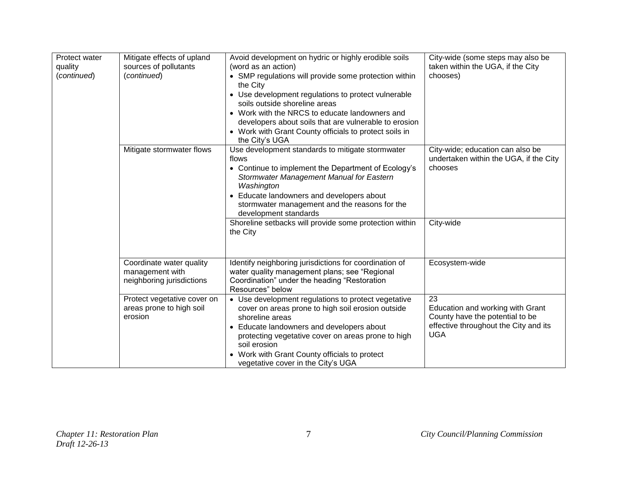| Protect water<br>quality<br>(continued) | Mitigate effects of upland<br>sources of pollutants<br>(continued)       | Avoid development on hydric or highly erodible soils<br>(word as an action)<br>• SMP regulations will provide some protection within<br>the City<br>• Use development regulations to protect vulnerable<br>soils outside shoreline areas<br>• Work with the NRCS to educate landowners and<br>developers about soils that are vulnerable to erosion<br>• Work with Grant County officials to protect soils in<br>the City's UGA | City-wide (some steps may also be<br>taken within the UGA, if the City<br>chooses)                                               |
|-----------------------------------------|--------------------------------------------------------------------------|---------------------------------------------------------------------------------------------------------------------------------------------------------------------------------------------------------------------------------------------------------------------------------------------------------------------------------------------------------------------------------------------------------------------------------|----------------------------------------------------------------------------------------------------------------------------------|
|                                         | Mitigate stormwater flows                                                | Use development standards to mitigate stormwater<br>flows<br>• Continue to implement the Department of Ecology's<br>Stormwater Management Manual for Eastern<br>Washington<br>• Educate landowners and developers about<br>stormwater management and the reasons for the<br>development standards                                                                                                                               | City-wide; education can also be<br>undertaken within the UGA, if the City<br>chooses                                            |
|                                         |                                                                          | Shoreline setbacks will provide some protection within<br>the City                                                                                                                                                                                                                                                                                                                                                              | City-wide                                                                                                                        |
|                                         | Coordinate water quality<br>management with<br>neighboring jurisdictions | Identify neighboring jurisdictions for coordination of<br>water quality management plans; see "Regional<br>Coordination" under the heading "Restoration<br>Resources" below                                                                                                                                                                                                                                                     | Ecosystem-wide                                                                                                                   |
|                                         | Protect vegetative cover on<br>areas prone to high soil<br>erosion       | • Use development regulations to protect vegetative<br>cover on areas prone to high soil erosion outside<br>shoreline areas<br>• Educate landowners and developers about<br>protecting vegetative cover on areas prone to high<br>soil erosion<br>• Work with Grant County officials to protect<br>vegetative cover in the City's UGA                                                                                           | 23<br>Education and working with Grant<br>County have the potential to be<br>effective throughout the City and its<br><b>UGA</b> |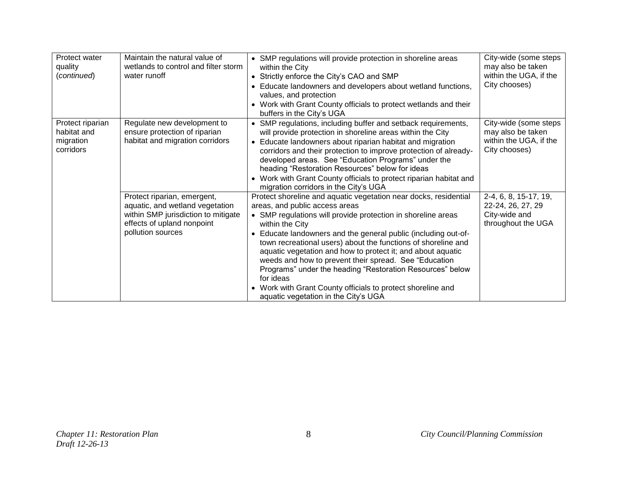| Protect water<br>quality<br>(continued)                   | Maintain the natural value of<br>wetlands to control and filter storm<br>water runoff                                                                    | • SMP regulations will provide protection in shoreline areas<br>within the City<br>• Strictly enforce the City's CAO and SMP<br>• Educate landowners and developers about wetland functions,<br>values, and protection<br>• Work with Grant County officials to protect wetlands and their<br>buffers in the City's UGA                                                                                                                                                                                                                                                                                                                       | City-wide (some steps<br>may also be taken<br>within the UGA, if the<br>City chooses) |
|-----------------------------------------------------------|----------------------------------------------------------------------------------------------------------------------------------------------------------|-----------------------------------------------------------------------------------------------------------------------------------------------------------------------------------------------------------------------------------------------------------------------------------------------------------------------------------------------------------------------------------------------------------------------------------------------------------------------------------------------------------------------------------------------------------------------------------------------------------------------------------------------|---------------------------------------------------------------------------------------|
| Protect riparian<br>habitat and<br>migration<br>corridors | Regulate new development to<br>ensure protection of riparian<br>habitat and migration corridors                                                          | • SMP regulations, including buffer and setback requirements,<br>will provide protection in shoreline areas within the City<br>• Educate landowners about riparian habitat and migration<br>corridors and their protection to improve protection of already-<br>developed areas. See "Education Programs" under the<br>heading "Restoration Resources" below for ideas<br>• Work with Grant County officials to protect riparian habitat and<br>migration corridors in the City's UGA                                                                                                                                                         | City-wide (some steps<br>may also be taken<br>within the UGA, if the<br>City chooses) |
|                                                           | Protect riparian, emergent,<br>aquatic, and wetland vegetation<br>within SMP jurisdiction to mitigate<br>effects of upland nonpoint<br>pollution sources | Protect shoreline and aquatic vegetation near docks, residential<br>areas, and public access areas<br>• SMP regulations will provide protection in shoreline areas<br>within the City<br>Educate landowners and the general public (including out-of-<br>$\bullet$<br>town recreational users) about the functions of shoreline and<br>aquatic vegetation and how to protect it; and about aquatic<br>weeds and how to prevent their spread. See "Education"<br>Programs" under the heading "Restoration Resources" below<br>for ideas<br>• Work with Grant County officials to protect shoreline and<br>aquatic vegetation in the City's UGA | 2-4, 6, 8, 15-17, 19,<br>22-24, 26, 27, 29<br>City-wide and<br>throughout the UGA     |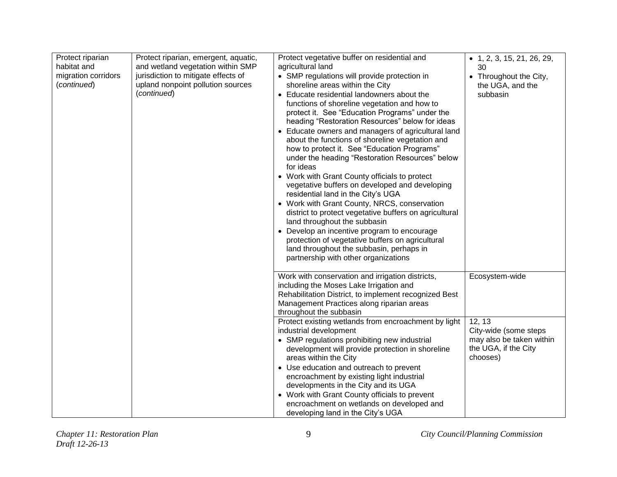| Protect riparian<br>habitat and<br>migration corridors<br>(continued) | Protect riparian, emergent, aquatic,<br>and wetland vegetation within SMP<br>jurisdiction to mitigate effects of<br>upland nonpoint pollution sources<br>(continued) | Protect vegetative buffer on residential and<br>agricultural land<br>• SMP regulations will provide protection in<br>shoreline areas within the City<br>• Educate residential landowners about the<br>functions of shoreline vegetation and how to<br>protect it. See "Education Programs" under the<br>heading "Restoration Resources" below for ideas<br>• Educate owners and managers of agricultural land<br>about the functions of shoreline vegetation and<br>how to protect it. See "Education Programs"<br>under the heading "Restoration Resources" below<br>for ideas<br>• Work with Grant County officials to protect<br>vegetative buffers on developed and developing<br>residential land in the City's UGA<br>• Work with Grant County, NRCS, conservation<br>district to protect vegetative buffers on agricultural<br>land throughout the subbasin<br>• Develop an incentive program to encourage<br>protection of vegetative buffers on agricultural<br>land throughout the subbasin, perhaps in<br>partnership with other organizations | $\bullet$ 1, 2, 3, 15, 21, 26, 29,<br>30<br>• Throughout the City,<br>the UGA, and the<br>subbasin |
|-----------------------------------------------------------------------|----------------------------------------------------------------------------------------------------------------------------------------------------------------------|-----------------------------------------------------------------------------------------------------------------------------------------------------------------------------------------------------------------------------------------------------------------------------------------------------------------------------------------------------------------------------------------------------------------------------------------------------------------------------------------------------------------------------------------------------------------------------------------------------------------------------------------------------------------------------------------------------------------------------------------------------------------------------------------------------------------------------------------------------------------------------------------------------------------------------------------------------------------------------------------------------------------------------------------------------------|----------------------------------------------------------------------------------------------------|
|                                                                       |                                                                                                                                                                      | Work with conservation and irrigation districts,<br>including the Moses Lake Irrigation and<br>Rehabilitation District, to implement recognized Best<br>Management Practices along riparian areas<br>throughout the subbasin                                                                                                                                                                                                                                                                                                                                                                                                                                                                                                                                                                                                                                                                                                                                                                                                                              | Ecosystem-wide                                                                                     |
|                                                                       |                                                                                                                                                                      | Protect existing wetlands from encroachment by light<br>industrial development<br>• SMP regulations prohibiting new industrial<br>development will provide protection in shoreline<br>areas within the City<br>• Use education and outreach to prevent<br>encroachment by existing light industrial<br>developments in the City and its UGA<br>• Work with Grant County officials to prevent<br>encroachment on wetlands on developed and<br>developing land in the City's UGA                                                                                                                                                                                                                                                                                                                                                                                                                                                                                                                                                                            | 12, 13<br>City-wide (some steps<br>may also be taken within<br>the UGA, if the City<br>chooses)    |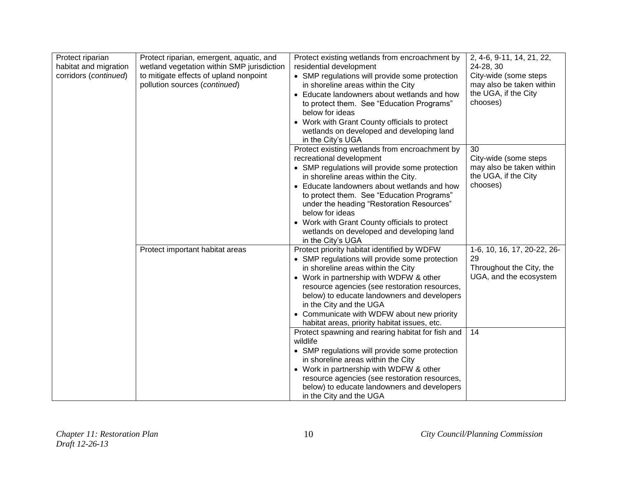| Protect riparian<br>habitat and migration<br>corridors (continued) | Protect riparian, emergent, aquatic, and<br>wetland vegetation within SMP jurisdiction<br>to mitigate effects of upland nonpoint<br>pollution sources (continued) | Protect existing wetlands from encroachment by<br>residential development<br>• SMP regulations will provide some protection<br>in shoreline areas within the City<br>• Educate landowners about wetlands and how<br>to protect them. See "Education Programs"<br>below for ideas<br>• Work with Grant County officials to protect<br>wetlands on developed and developing land<br>in the City's UGA                                                | 2, 4-6, 9-11, 14, 21, 22,<br>24-28, 30<br>City-wide (some steps<br>may also be taken within<br>the UGA, if the City<br>chooses) |
|--------------------------------------------------------------------|-------------------------------------------------------------------------------------------------------------------------------------------------------------------|----------------------------------------------------------------------------------------------------------------------------------------------------------------------------------------------------------------------------------------------------------------------------------------------------------------------------------------------------------------------------------------------------------------------------------------------------|---------------------------------------------------------------------------------------------------------------------------------|
|                                                                    |                                                                                                                                                                   | Protect existing wetlands from encroachment by<br>recreational development<br>• SMP regulations will provide some protection<br>in shoreline areas within the City.<br>• Educate landowners about wetlands and how<br>to protect them. See "Education Programs"<br>under the heading "Restoration Resources"<br>below for ideas<br>• Work with Grant County officials to protect<br>wetlands on developed and developing land<br>in the City's UGA | 30<br>City-wide (some steps<br>may also be taken within<br>the UGA, if the City<br>chooses)                                     |
|                                                                    | Protect important habitat areas                                                                                                                                   | Protect priority habitat identified by WDFW<br>• SMP regulations will provide some protection<br>in shoreline areas within the City<br>• Work in partnership with WDFW & other<br>resource agencies (see restoration resources,<br>below) to educate landowners and developers<br>in the City and the UGA<br>• Communicate with WDFW about new priority<br>habitat areas, priority habitat issues, etc.                                            | 1-6, 10, 16, 17, 20-22, 26-<br>29<br>Throughout the City, the<br>UGA, and the ecosystem                                         |
|                                                                    |                                                                                                                                                                   | Protect spawning and rearing habitat for fish and<br>wildlife<br>• SMP regulations will provide some protection<br>in shoreline areas within the City<br>• Work in partnership with WDFW & other<br>resource agencies (see restoration resources,<br>below) to educate landowners and developers<br>in the City and the UGA                                                                                                                        | 14                                                                                                                              |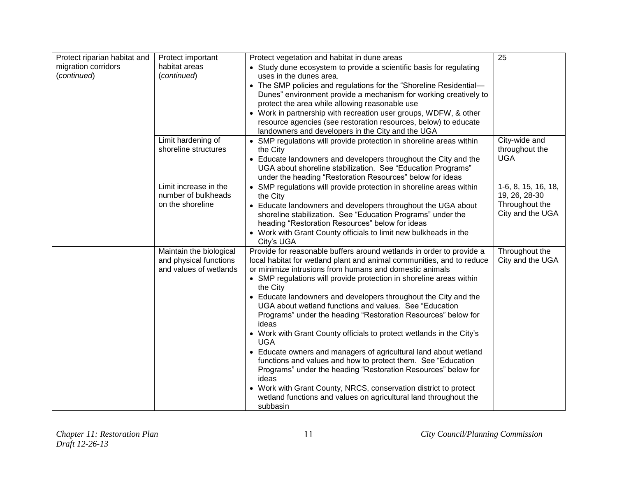| Protect riparian habitat and       | Protect important                                                           | Protect vegetation and habitat in dune areas                                                                                                                                                                                                                                    | 25                                            |
|------------------------------------|-----------------------------------------------------------------------------|---------------------------------------------------------------------------------------------------------------------------------------------------------------------------------------------------------------------------------------------------------------------------------|-----------------------------------------------|
| migration corridors<br>(continued) | habitat areas<br>(continued)                                                | • Study dune ecosystem to provide a scientific basis for regulating<br>uses in the dunes area.<br>• The SMP policies and regulations for the "Shoreline Residential-                                                                                                            |                                               |
|                                    |                                                                             | Dunes" environment provide a mechanism for working creatively to<br>protect the area while allowing reasonable use                                                                                                                                                              |                                               |
|                                    |                                                                             | • Work in partnership with recreation user groups, WDFW, & other<br>resource agencies (see restoration resources, below) to educate<br>landowners and developers in the City and the UGA                                                                                        |                                               |
|                                    | Limit hardening of<br>shoreline structures                                  | • SMP regulations will provide protection in shoreline areas within<br>the City<br>• Educate landowners and developers throughout the City and the                                                                                                                              | City-wide and<br>throughout the<br><b>UGA</b> |
|                                    |                                                                             | UGA about shoreline stabilization. See "Education Programs"<br>under the heading "Restoration Resources" below for ideas                                                                                                                                                        |                                               |
|                                    | Limit increase in the<br>number of bulkheads                                | • SMP regulations will provide protection in shoreline areas within<br>the City                                                                                                                                                                                                 | 1-6, 8, 15, 16, 18,<br>19, 26, 28-30          |
|                                    | on the shoreline                                                            | • Educate landowners and developers throughout the UGA about<br>shoreline stabilization. See "Education Programs" under the<br>heading "Restoration Resources" below for ideas                                                                                                  | Throughout the<br>City and the UGA            |
|                                    |                                                                             | • Work with Grant County officials to limit new bulkheads in the<br>City's UGA                                                                                                                                                                                                  |                                               |
|                                    | Maintain the biological<br>and physical functions<br>and values of wetlands | Provide for reasonable buffers around wetlands in order to provide a<br>local habitat for wetland plant and animal communities, and to reduce<br>or minimize intrusions from humans and domestic animals<br>• SMP regulations will provide protection in shoreline areas within | Throughout the<br>City and the UGA            |
|                                    |                                                                             | the City<br>• Educate landowners and developers throughout the City and the<br>UGA about wetland functions and values. See "Education"<br>Programs" under the heading "Restoration Resources" below for<br>ideas                                                                |                                               |
|                                    |                                                                             | • Work with Grant County officials to protect wetlands in the City's<br><b>UGA</b>                                                                                                                                                                                              |                                               |
|                                    |                                                                             | • Educate owners and managers of agricultural land about wetland<br>functions and values and how to protect them. See "Education<br>Programs" under the heading "Restoration Resources" below for<br>ideas                                                                      |                                               |
|                                    |                                                                             | • Work with Grant County, NRCS, conservation district to protect<br>wetland functions and values on agricultural land throughout the<br>subbasin                                                                                                                                |                                               |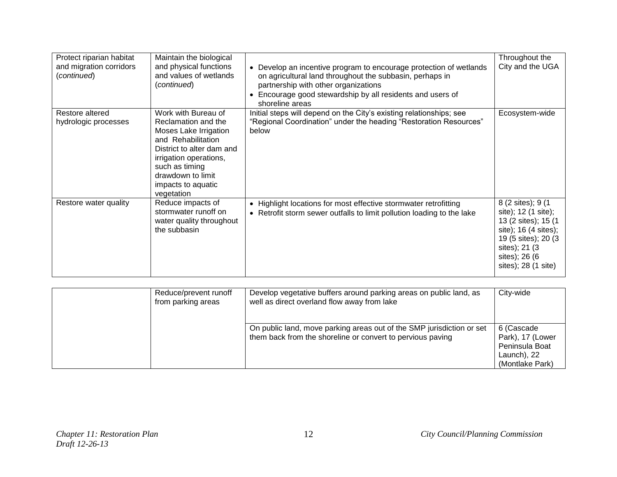| Protect riparian habitat<br>and migration corridors<br>(continued) | Maintain the biological<br>and physical functions<br>and values of wetlands<br>(continued)                                                                                                                                  | • Develop an incentive program to encourage protection of wetlands<br>on agricultural land throughout the subbasin, perhaps in<br>partnership with other organizations<br>• Encourage good stewardship by all residents and users of<br>shoreline areas | Throughout the<br>City and the UGA                                                                                                                                         |
|--------------------------------------------------------------------|-----------------------------------------------------------------------------------------------------------------------------------------------------------------------------------------------------------------------------|---------------------------------------------------------------------------------------------------------------------------------------------------------------------------------------------------------------------------------------------------------|----------------------------------------------------------------------------------------------------------------------------------------------------------------------------|
| Restore altered<br>hydrologic processes                            | Work with Bureau of<br>Reclamation and the<br>Moses Lake Irrigation<br>and Rehabilitation<br>District to alter dam and<br>irrigation operations,<br>such as timing<br>drawdown to limit<br>impacts to aquatic<br>vegetation | Initial steps will depend on the City's existing relationships; see<br>"Regional Coordination" under the heading "Restoration Resources"<br>below                                                                                                       | Ecosystem-wide                                                                                                                                                             |
| Restore water quality                                              | Reduce impacts of<br>stormwater runoff on<br>water quality throughout<br>the subbasin                                                                                                                                       | • Highlight locations for most effective stormwater retrofitting<br>• Retrofit storm sewer outfalls to limit pollution loading to the lake                                                                                                              | 8 (2 sites); 9 (1<br>site); 12 (1 site);<br>13 (2 sites); 15 (1<br>site); 16 (4 sites);<br>19 (5 sites); 20 (3)<br>sites); 21 (3)<br>sites); 26 (6)<br>sites); 28 (1 site) |

| Reduce/prevent runoff<br>from parking areas | Develop vegetative buffers around parking areas on public land, as<br>well as direct overland flow away from lake                   | City-wide                                                                          |
|---------------------------------------------|-------------------------------------------------------------------------------------------------------------------------------------|------------------------------------------------------------------------------------|
|                                             | On public land, move parking areas out of the SMP jurisdiction or set<br>them back from the shoreline or convert to pervious paving | 6 (Cascade<br>Park), 17 (Lower<br>Peninsula Boat<br>Launch), 22<br>(Montlake Park) |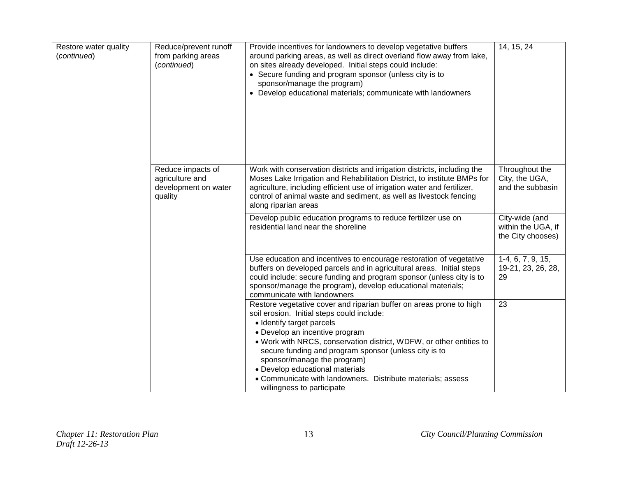| Restore water quality<br>(continued) | Reduce/prevent runoff<br>from parking areas<br>(continued)              | Provide incentives for landowners to develop vegetative buffers<br>around parking areas, as well as direct overland flow away from lake,<br>on sites already developed. Initial steps could include:<br>• Secure funding and program sponsor (unless city is to<br>sponsor/manage the program)<br>• Develop educational materials; communicate with landowners                                                                                                                  | 14, 15, 24                                                |
|--------------------------------------|-------------------------------------------------------------------------|---------------------------------------------------------------------------------------------------------------------------------------------------------------------------------------------------------------------------------------------------------------------------------------------------------------------------------------------------------------------------------------------------------------------------------------------------------------------------------|-----------------------------------------------------------|
|                                      | Reduce impacts of<br>agriculture and<br>development on water<br>quality | Work with conservation districts and irrigation districts, including the<br>Moses Lake Irrigation and Rehabilitation District, to institute BMPs for<br>agriculture, including efficient use of irrigation water and fertilizer,<br>control of animal waste and sediment, as well as livestock fencing<br>along riparian areas                                                                                                                                                  | Throughout the<br>City, the UGA,<br>and the subbasin      |
|                                      |                                                                         | Develop public education programs to reduce fertilizer use on<br>residential land near the shoreline                                                                                                                                                                                                                                                                                                                                                                            | City-wide (and<br>within the UGA, if<br>the City chooses) |
|                                      |                                                                         | Use education and incentives to encourage restoration of vegetative<br>buffers on developed parcels and in agricultural areas. Initial steps<br>could include: secure funding and program sponsor (unless city is to<br>sponsor/manage the program), develop educational materials;<br>communicate with landowners                                                                                                                                                              | $1-4, 6, 7, 9, 15,$<br>19-21, 23, 26, 28,<br>29           |
|                                      |                                                                         | Restore vegetative cover and riparian buffer on areas prone to high<br>soil erosion. Initial steps could include:<br>• Identify target parcels<br>• Develop an incentive program<br>. Work with NRCS, conservation district, WDFW, or other entities to<br>secure funding and program sponsor (unless city is to<br>sponsor/manage the program)<br>• Develop educational materials<br>• Communicate with landowners. Distribute materials; assess<br>willingness to participate | 23                                                        |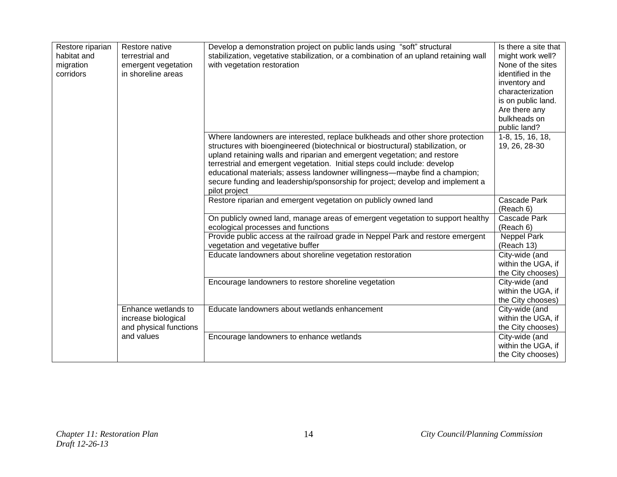| Restore riparian<br>habitat and<br>migration<br>corridors | Restore native<br>terrestrial and<br>emergent vegetation<br>in shoreline areas | Develop a demonstration project on public lands using "soft" structural<br>stabilization, vegetative stabilization, or a combination of an upland retaining wall<br>with vegetation restoration                                                                                                                                                                                                                                                                                                            | Is there a site that<br>might work well?<br>None of the sites<br>identified in the<br>inventory and<br>characterization<br>is on public land.<br>Are there any<br>bulkheads on<br>public land? |
|-----------------------------------------------------------|--------------------------------------------------------------------------------|------------------------------------------------------------------------------------------------------------------------------------------------------------------------------------------------------------------------------------------------------------------------------------------------------------------------------------------------------------------------------------------------------------------------------------------------------------------------------------------------------------|------------------------------------------------------------------------------------------------------------------------------------------------------------------------------------------------|
|                                                           |                                                                                | Where landowners are interested, replace bulkheads and other shore protection<br>structures with bioengineered (biotechnical or biostructural) stabilization, or<br>upland retaining walls and riparian and emergent vegetation; and restore<br>terrestrial and emergent vegetation. Initial steps could include: develop<br>educational materials; assess landowner willingness-maybe find a champion;<br>secure funding and leadership/sponsorship for project; develop and implement a<br>pilot project | 1-8, 15, 16, 18,<br>19, 26, 28-30                                                                                                                                                              |
|                                                           |                                                                                | Restore riparian and emergent vegetation on publicly owned land                                                                                                                                                                                                                                                                                                                                                                                                                                            | Cascade Park<br>(Reach 6)                                                                                                                                                                      |
|                                                           |                                                                                | On publicly owned land, manage areas of emergent vegetation to support healthy<br>ecological processes and functions                                                                                                                                                                                                                                                                                                                                                                                       | Cascade Park<br>(Reach 6)                                                                                                                                                                      |
|                                                           |                                                                                | Provide public access at the railroad grade in Neppel Park and restore emergent<br>vegetation and vegetative buffer                                                                                                                                                                                                                                                                                                                                                                                        | <b>Neppel Park</b><br>(Reach 13)                                                                                                                                                               |
|                                                           |                                                                                | Educate landowners about shoreline vegetation restoration                                                                                                                                                                                                                                                                                                                                                                                                                                                  | City-wide (and<br>within the UGA, if<br>the City chooses)                                                                                                                                      |
|                                                           |                                                                                | Encourage landowners to restore shoreline vegetation                                                                                                                                                                                                                                                                                                                                                                                                                                                       | City-wide (and<br>within the UGA, if<br>the City chooses)                                                                                                                                      |
|                                                           | Enhance wetlands to<br>increase biological<br>and physical functions           | Educate landowners about wetlands enhancement                                                                                                                                                                                                                                                                                                                                                                                                                                                              | City-wide (and<br>within the UGA, if<br>the City chooses)                                                                                                                                      |
|                                                           | and values                                                                     | Encourage landowners to enhance wetlands                                                                                                                                                                                                                                                                                                                                                                                                                                                                   | City-wide (and<br>within the UGA, if<br>the City chooses)                                                                                                                                      |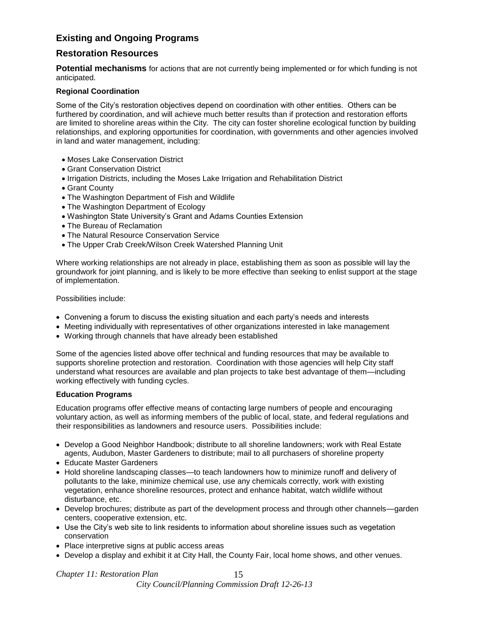# **Existing and Ongoing Programs**

## **Restoration Resources**

**Potential mechanisms** for actions that are not currently being implemented or for which funding is not anticipated.

#### **Regional Coordination**

Some of the City's restoration objectives depend on coordination with other entities. Others can be furthered by coordination, and will achieve much better results than if protection and restoration efforts are limited to shoreline areas within the City. The city can foster shoreline ecological function by building relationships, and exploring opportunities for coordination, with governments and other agencies involved in land and water management, including:

- Moses Lake Conservation District
- Grant Conservation District
- Irrigation Districts, including the Moses Lake Irrigation and Rehabilitation District
- Grant County
- The Washington Department of Fish and Wildlife
- The Washington Department of Ecology
- Washington State University's Grant and Adams Counties Extension
- The Bureau of Reclamation
- The Natural Resource Conservation Service
- The Upper Crab Creek/Wilson Creek Watershed Planning Unit

Where working relationships are not already in place, establishing them as soon as possible will lay the groundwork for joint planning, and is likely to be more effective than seeking to enlist support at the stage of implementation.

Possibilities include:

- Convening a forum to discuss the existing situation and each party's needs and interests
- Meeting individually with representatives of other organizations interested in lake management
- Working through channels that have already been established

Some of the agencies listed above offer technical and funding resources that may be available to supports shoreline protection and restoration. Coordination with those agencies will help City staff understand what resources are available and plan projects to take best advantage of them—including working effectively with funding cycles.

#### **Education Programs**

Education programs offer effective means of contacting large numbers of people and encouraging voluntary action, as well as informing members of the public of local, state, and federal regulations and their responsibilities as landowners and resource users. Possibilities include:

- Develop a Good Neighbor Handbook; distribute to all shoreline landowners; work with Real Estate agents, Audubon, Master Gardeners to distribute; mail to all purchasers of shoreline property
- Educate Master Gardeners
- Hold shoreline landscaping classes—to teach landowners how to minimize runoff and delivery of pollutants to the lake, minimize chemical use, use any chemicals correctly, work with existing vegetation, enhance shoreline resources, protect and enhance habitat, watch wildlife without disturbance, etc.
- Develop brochures; distribute as part of the development process and through other channels—garden centers, cooperative extension, etc.
- Use the City's web site to link residents to information about shoreline issues such as vegetation conservation
- Place interpretive signs at public access areas
- Develop a display and exhibit it at City Hall, the County Fair, local home shows, and other venues.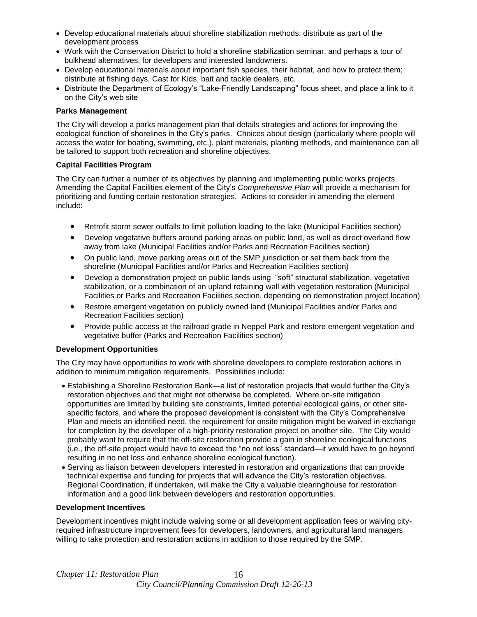- Develop educational materials about shoreline stabilization methods; distribute as part of the development process
- Work with the Conservation District to hold a shoreline stabilization seminar, and perhaps a tour of bulkhead alternatives, for developers and interested landowners.
- Develop educational materials about important fish species, their habitat, and how to protect them; distribute at fishing days, Cast for Kids, bait and tackle dealers, etc.
- Distribute the Department of Ecology's "Lake-Friendly Landscaping" focus sheet, and place a link to it on the City's web site

#### **Parks Management**

The City will develop a parks management plan that details strategies and actions for improving the ecological function of shorelines in the City's parks. Choices about design (particularly where people will access the water for boating, swimming, etc.), plant materials, planting methods, and maintenance can all be tailored to support both recreation and shoreline objectives.

#### **Capital Facilities Program**

The City can further a number of its objectives by planning and implementing public works projects. Amending the Capital Facilities element of the City's *Comprehensive Plan* will provide a mechanism for prioritizing and funding certain restoration strategies. Actions to consider in amending the element include:

- Retrofit storm sewer outfalls to limit pollution loading to the lake (Municipal Facilities section)
- Develop vegetative buffers around parking areas on public land, as well as direct overland flow away from lake (Municipal Facilities and/or Parks and Recreation Facilities section)
- On public land, move parking areas out of the SMP jurisdiction or set them back from the shoreline (Municipal Facilities and/or Parks and Recreation Facilities section)
- Develop a demonstration project on public lands using "soft" structural stabilization, vegetative stabilization, or a combination of an upland retaining wall with vegetation restoration (Municipal Facilities or Parks and Recreation Facilities section, depending on demonstration project location)
- Restore emergent vegetation on publicly owned land (Municipal Facilities and/or Parks and Recreation Facilities section)
- Provide public access at the railroad grade in Neppel Park and restore emergent vegetation and vegetative buffer (Parks and Recreation Facilities section)

#### **Development Opportunities**

The City may have opportunities to work with shoreline developers to complete restoration actions in addition to minimum mitigation requirements. Possibilities include:

- Establishing a Shoreline Restoration Bank—a list of restoration projects that would further the City's restoration objectives and that might not otherwise be completed. Where on-site mitigation opportunities are limited by building site constraints, limited potential ecological gains, or other sitespecific factors, and where the proposed development is consistent with the City's Comprehensive Plan and meets an identified need, the requirement for onsite mitigation might be waived in exchange for completion by the developer of a high-priority restoration project on another site. The City would probably want to require that the off-site restoration provide a gain in shoreline ecological functions (i.e., the off-site project would have to exceed the "no net loss" standard—it would have to go beyond resulting in no net loss and enhance shoreline ecological function).
- Serving as liaison between developers interested in restoration and organizations that can provide technical expertise and funding for projects that will advance the City's restoration objectives. Regional Coordination, if undertaken, will make the City a valuable clearinghouse for restoration information and a good link between developers and restoration opportunities.

#### **Development Incentives**

Development incentives might include waiving some or all development application fees or waiving cityrequired infrastructure improvement fees for developers, landowners, and agricultural land managers willing to take protection and restoration actions in addition to those required by the SMP.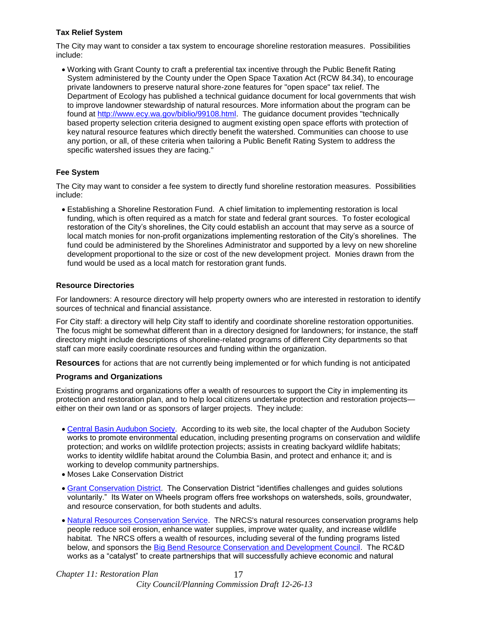## **Tax Relief System**

The City may want to consider a tax system to encourage shoreline restoration measures. Possibilities include:

 Working with Grant County to craft a preferential tax incentive through the Public Benefit Rating System administered by the County under the Open Space Taxation Act (RCW 84.34), to encourage private landowners to preserve natural shore-zone features for "open space" tax relief. The Department of Ecology has published a technical guidance document for local governments that wish to improve landowner stewardship of natural resources. More information about the program can be found at [http://www.ecy.wa.gov/biblio/99108.html.](http://www.ecy.wa.gov/biblio/99108.html) The guidance document provides "technically based property selection criteria designed to augment existing open space efforts with protection of key natural resource features which directly benefit the watershed. Communities can choose to use any portion, or all, of these criteria when tailoring a Public Benefit Rating System to address the specific watershed issues they are facing."

## **Fee System**

The City may want to consider a fee system to directly fund shoreline restoration measures. Possibilities include:

 Establishing a Shoreline Restoration Fund. A chief limitation to implementing restoration is local funding, which is often required as a match for state and federal grant sources. To foster ecological restoration of the City's shorelines, the City could establish an account that may serve as a source of local match monies for non-profit organizations implementing restoration of the City's shorelines. The fund could be administered by the Shorelines Administrator and supported by a levy on new shoreline development proportional to the size or cost of the new development project. Monies drawn from the fund would be used as a local match for restoration grant funds.

## **Resource Directories**

For landowners: A resource directory will help property owners who are interested in restoration to identify sources of technical and financial assistance.

For City staff: a directory will help City staff to identify and coordinate shoreline restoration opportunities. The focus might be somewhat different than in a directory designed for landowners; for instance, the staff directory might include descriptions of shoreline-related programs of different City departments so that staff can more easily coordinate resources and funding within the organization.

**Resources** for actions that are not currently being implemented or for which funding is not anticipated

#### **Programs and Organizations**

Existing programs and organizations offer a wealth of resources to support the City in implementing its protection and restoration plan, and to help local citizens undertake protection and restoration projects either on their own land or as sponsors of larger projects. They include:

- [Central Basin Audubon Society.](http://www.cbas.org/) According to its web site, the local chapter of the Audubon Society works to promote environmental education, including presenting programs on conservation and wildlife protection; and works on wildlife protection projects; assists in creating backyard wildlife habitats; works to identity wildlife habitat around the Columbia Basin, and protect and enhance it; and is working to develop community partnerships.
- Moses Lake Conservation District
- [Grant Conservation District.](http://cdp.wa.nacdnet.org/) The Conservation District "identifies challenges and guides solutions voluntarily." Its Water on Wheels program offers free workshops on watersheds, soils, groundwater, and resource conservation, for both students and adults.
- [Natural Resources Conservation Service.](http://www.wa.nrcs.usda.gov/) The NRCS's natural resources conservation programs help people reduce soil erosion, enhance water supplies, improve water quality, and increase wildlife habitat. The NRCS offers a wealth of resources, including several of the funding programs listed below, and sponsors the [Big Bend Resource Conservation and Development Council.](http://www.bbrcd.com/index.html) The RC&D works as a "catalyst" to create partnerships that will successfully achieve economic and natural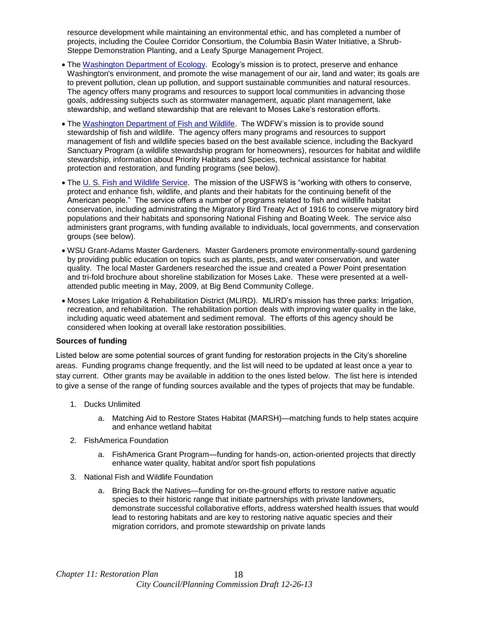resource development while maintaining an environmental ethic, and has completed a number of projects, including the Coulee Corridor Consortium, the Columbia Basin Water Initiative, a Shrub-Steppe Demonstration Planting, and a Leafy Spurge Management Project.

- The [Washington Department of Ecology.](http://www.ecy.wa.gov/ecyhome.html) Ecology's mission is to protect, preserve and enhance Washington's environment, and promote the wise management of our air, land and water; its goals are to prevent pollution, clean up pollution, and support sustainable communities and natural resources. The agency offers many programs and resources to support local communities in advancing those goals, addressing subjects such as stormwater management, aquatic plant management, lake stewardship, and wetland stewardship that are relevant to Moses Lake's restoration efforts.
- The [Washington Department of Fish and Wildlife.](http://wdfw.wa.gov/) The WDFW's mission is to provide sound stewardship of fish and wildlife. The agency offers many programs and resources to support management of fish and wildlife species based on the best available science, including the Backyard Sanctuary Program (a wildlife stewardship program for homeowners), resources for habitat and wildlife stewardship, information about Priority Habitats and Species, technical assistance for habitat protection and restoration, and funding programs (see below).
- The [U. S. Fish and Wildlife Service.](http://www.fws.gov/) The mission of the USFWS is "working with others to conserve, protect and enhance fish, wildlife, and plants and their habitats for the continuing benefit of the American people." The service offers a number of programs related to fish and wildlife habitat conservation, including administrating the Migratory Bird Treaty Act of 1916 to conserve migratory bird populations and their habitats and sponsoring National Fishing and Boating Week. The service also administers grant programs, with funding available to individuals, local governments, and conservation groups (see below).
- WSU Grant-Adams Master Gardeners. Master Gardeners promote environmentally-sound gardening by providing public education on topics such as plants, pests, and water conservation, and water quality. The local Master Gardeners researched the issue and created a Power Point presentation and tri-fold brochure about shoreline stabilization for Moses Lake. These were presented at a wellattended public meeting in May, 2009, at Big Bend Community College.
- Moses Lake Irrigation & Rehabilitation District (MLIRD).MLIRD's mission has three parks: Irrigation, recreation, and rehabilitation. The rehabilitation portion deals with improving water quality in the lake, including aquatic weed abatement and sediment removal. The efforts of this agency should be considered when looking at overall lake restoration possibilities.

#### **Sources of funding**

Listed below are some potential sources of grant funding for restoration projects in the City's shoreline areas. Funding programs change frequently, and the list will need to be updated at least once a year to stay current. Other grants may be available in addition to the ones listed below. The list here is intended to give a sense of the range of funding sources available and the types of projects that may be fundable.

- 1. Ducks Unlimited
	- a. Matching Aid to Restore States Habitat (MARSH)—matching funds to help states acquire and enhance wetland habitat
- 2. FishAmerica Foundation
	- a. FishAmerica Grant Program—funding for hands-on, action-oriented projects that directly enhance water quality, habitat and/or sport fish populations
- 3. National Fish and Wildlife Foundation
	- a. Bring Back the Natives—funding for on-the-ground efforts to restore native aquatic species to their historic range that initiate partnerships with private landowners, demonstrate successful collaborative efforts, address watershed health issues that would lead to restoring habitats and are key to restoring native aquatic species and their migration corridors, and promote stewardship on private lands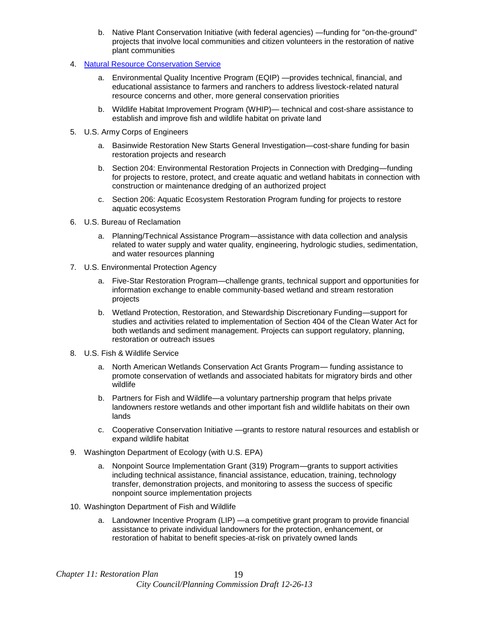- b. Native Plant Conservation Initiative (with federal agencies) —funding for "on-the-ground" projects that involve local communities and citizen volunteers in the restoration of native plant communities
- 4. [Natural Resource Conservation Service](http://www.wa.nrcs.usda.gov/)
	- a. Environmental Quality Incentive Program (EQIP) —provides technical, financial, and educational assistance to farmers and ranchers to address livestock-related natural resource concerns and other, more general conservation priorities
	- b. Wildlife Habitat Improvement Program (WHIP)— technical and cost-share assistance to establish and improve fish and wildlife habitat on private land
- 5. U.S. Army Corps of Engineers
	- a. Basinwide Restoration New Starts General Investigation—cost-share funding for basin restoration projects and research
	- b. Section 204: Environmental Restoration Projects in Connection with Dredging—funding for projects to restore, protect, and create aquatic and wetland habitats in connection with construction or maintenance dredging of an authorized project
	- c. Section 206: Aquatic Ecosystem Restoration Program funding for projects to restore aquatic ecosystems
- 6. U.S. Bureau of Reclamation
	- a. Planning/Technical Assistance Program—assistance with data collection and analysis related to water supply and water quality, engineering, hydrologic studies, sedimentation, and water resources planning
- 7. U.S. Environmental Protection Agency
	- a. Five-Star Restoration Program—challenge grants, technical support and opportunities for information exchange to enable community-based wetland and stream restoration projects
	- b. Wetland Protection, Restoration, and Stewardship Discretionary Funding—support for studies and activities related to implementation of Section 404 of the Clean Water Act for both wetlands and sediment management. Projects can support regulatory, planning, restoration or outreach issues
- 8. U.S. Fish & Wildlife Service
	- a. North American Wetlands Conservation Act Grants Program— funding assistance to promote conservation of wetlands and associated habitats for migratory birds and other wildlife
	- b. Partners for Fish and Wildlife—a voluntary partnership program that helps private landowners restore wetlands and other important fish and wildlife habitats on their own lands
	- c. Cooperative Conservation Initiative —grants to restore natural resources and establish or expand wildlife habitat
- 9. Washington Department of Ecology (with U.S. EPA)
	- a. Nonpoint Source Implementation Grant (319) Program—grants to support activities including technical assistance, financial assistance, education, training, technology transfer, demonstration projects, and monitoring to assess the success of specific nonpoint source implementation projects
- 10. Washington Department of Fish and Wildlife
	- a. Landowner Incentive Program (LIP) —a competitive grant program to provide financial assistance to private individual landowners for the protection, enhancement, or restoration of habitat to benefit species-at-risk on privately owned lands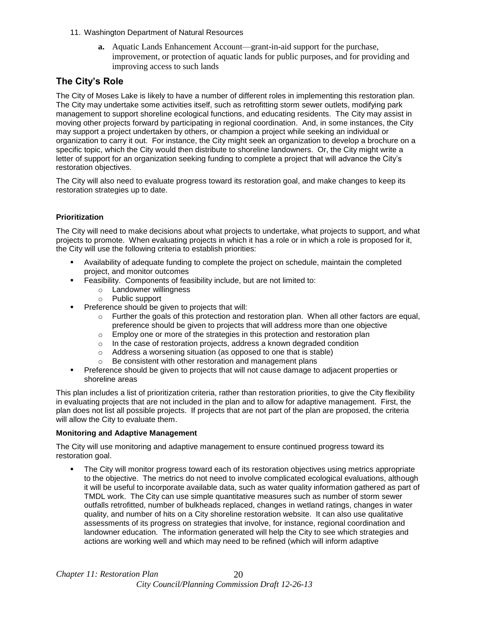- 11. Washington Department of Natural Resources
	- **a.** Aquatic Lands Enhancement Account—grant-in-aid support for the purchase, improvement, or protection of aquatic lands for public purposes, and for providing and improving access to such lands

## **The City's Role**

The City of Moses Lake is likely to have a number of different roles in implementing this restoration plan. The City may undertake some activities itself, such as retrofitting storm sewer outlets, modifying park management to support shoreline ecological functions, and educating residents. The City may assist in moving other projects forward by participating in regional coordination. And, in some instances, the City may support a project undertaken by others, or champion a project while seeking an individual or organization to carry it out. For instance, the City might seek an organization to develop a brochure on a specific topic, which the City would then distribute to shoreline landowners. Or, the City might write a letter of support for an organization seeking funding to complete a project that will advance the City's restoration objectives.

The City will also need to evaluate progress toward its restoration goal, and make changes to keep its restoration strategies up to date.

## **Prioritization**

The City will need to make decisions about what projects to undertake, what projects to support, and what projects to promote. When evaluating projects in which it has a role or in which a role is proposed for it, the City will use the following criteria to establish priorities:

- Availability of adequate funding to complete the project on schedule, maintain the completed project, and monitor outcomes
- Feasibility. Components of feasibility include, but are not limited to:
	- o Landowner willingness
	- o Public support
- **Preference should be given to projects that will:** 
	- $\circ$  Further the goals of this protection and restoration plan. When all other factors are equal, preference should be given to projects that will address more than one objective
	- $\circ$  Employ one or more of the strategies in this protection and restoration plan
	- $\circ$  In the case of restoration projects, address a known degraded condition
	- o Address a worsening situation (as opposed to one that is stable)
	- o Be consistent with other restoration and management plans
- Preference should be given to projects that will not cause damage to adjacent properties or shoreline areas

This plan includes a list of prioritization criteria, rather than restoration priorities, to give the City flexibility in evaluating projects that are not included in the plan and to allow for adaptive management. First, the plan does not list all possible projects. If projects that are not part of the plan are proposed, the criteria will allow the City to evaluate them.

#### **Monitoring and Adaptive Management**

The City will use monitoring and adaptive management to ensure continued progress toward its restoration goal.

 The City will monitor progress toward each of its restoration objectives using metrics appropriate to the objective. The metrics do not need to involve complicated ecological evaluations, although it will be useful to incorporate available data, such as water quality information gathered as part of TMDL work. The City can use simple quantitative measures such as number of storm sewer outfalls retrofitted, number of bulkheads replaced, changes in wetland ratings, changes in water quality, and number of hits on a City shoreline restoration website. It can also use qualitative assessments of its progress on strategies that involve, for instance, regional coordination and landowner education. The information generated will help the City to see which strategies and actions are working well and which may need to be refined (which will inform adaptive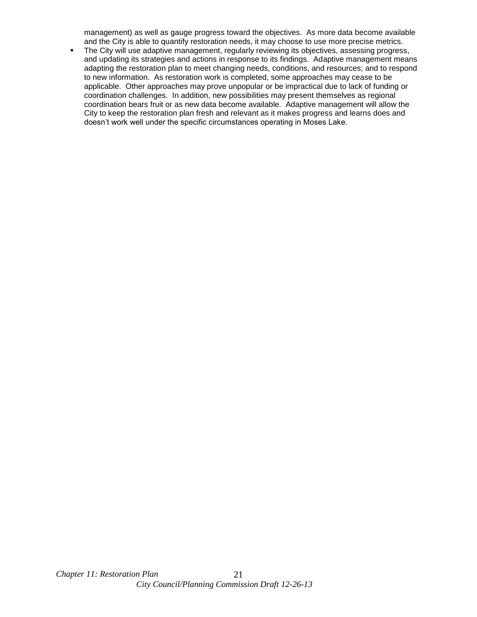management) as well as gauge progress toward the objectives. As more data become available and the City is able to quantify restoration needs, it may choose to use more precise metrics.

• The City will use adaptive management, regularly reviewing its objectives, assessing progress, and updating its strategies and actions in response to its findings. Adaptive management means adapting the restoration plan to meet changing needs, conditions, and resources; and to respond to new information. As restoration work is completed, some approaches may cease to be applicable. Other approaches may prove unpopular or be impractical due to lack of funding or coordination challenges. In addition, new possibilities may present themselves as regional coordination bears fruit or as new data become available. Adaptive management will allow the City to keep the restoration plan fresh and relevant as it makes progress and learns does and doesn't work well under the specific circumstances operating in Moses Lake.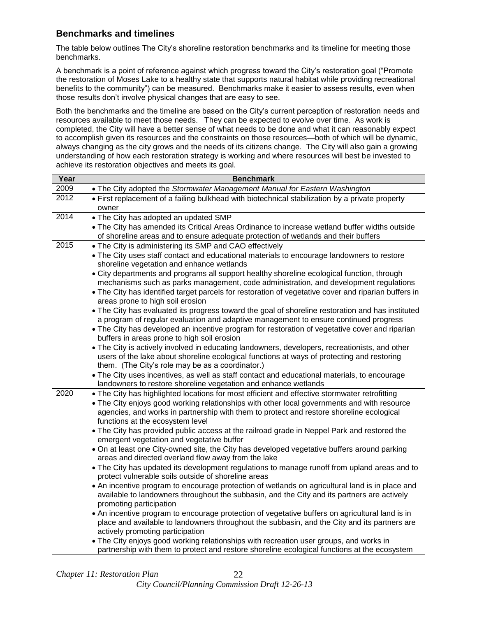# **Benchmarks and timelines**

The table below outlines The City's shoreline restoration benchmarks and its timeline for meeting those benchmarks.

A benchmark is a point of reference against which progress toward the City's restoration goal ("Promote the restoration of Moses Lake to a healthy state that supports natural habitat while providing recreational benefits to the community") can be measured. Benchmarks make it easier to assess results, even when those results don't involve physical changes that are easy to see.

Both the benchmarks and the timeline are based on the City's current perception of restoration needs and resources available to meet those needs. They can be expected to evolve over time. As work is completed, the City will have a better sense of what needs to be done and what it can reasonably expect to accomplish given its resources and the constraints on those resources—both of which will be dynamic, always changing as the city grows and the needs of its citizens change. The City will also gain a growing understanding of how each restoration strategy is working and where resources will best be invested to achieve its restoration objectives and meets its goal.

| Year | <b>Benchmark</b>                                                                                                                                                                                                                                                                                                                                                                                                                                                                                                                                                                                                                                                                                                                                                                                                                                                                                                                                                                                                                                                                                                                                                                                                                                                                                                                                                                                                                                    |
|------|-----------------------------------------------------------------------------------------------------------------------------------------------------------------------------------------------------------------------------------------------------------------------------------------------------------------------------------------------------------------------------------------------------------------------------------------------------------------------------------------------------------------------------------------------------------------------------------------------------------------------------------------------------------------------------------------------------------------------------------------------------------------------------------------------------------------------------------------------------------------------------------------------------------------------------------------------------------------------------------------------------------------------------------------------------------------------------------------------------------------------------------------------------------------------------------------------------------------------------------------------------------------------------------------------------------------------------------------------------------------------------------------------------------------------------------------------------|
| 2009 | • The City adopted the Stormwater Management Manual for Eastern Washington                                                                                                                                                                                                                                                                                                                                                                                                                                                                                                                                                                                                                                                                                                                                                                                                                                                                                                                                                                                                                                                                                                                                                                                                                                                                                                                                                                          |
| 2012 | • First replacement of a failing bulkhead with biotechnical stabilization by a private property<br>owner                                                                                                                                                                                                                                                                                                                                                                                                                                                                                                                                                                                                                                                                                                                                                                                                                                                                                                                                                                                                                                                                                                                                                                                                                                                                                                                                            |
| 2014 | . The City has adopted an updated SMP<br>. The City has amended its Critical Areas Ordinance to increase wetland buffer widths outside<br>of shoreline areas and to ensure adequate protection of wetlands and their buffers                                                                                                                                                                                                                                                                                                                                                                                                                                                                                                                                                                                                                                                                                                                                                                                                                                                                                                                                                                                                                                                                                                                                                                                                                        |
| 2015 | • The City is administering its SMP and CAO effectively<br>• The City uses staff contact and educational materials to encourage landowners to restore<br>shoreline vegetation and enhance wetlands<br>• City departments and programs all support healthy shoreline ecological function, through<br>mechanisms such as parks management, code administration, and development regulations<br>. The City has identified target parcels for restoration of vegetative cover and riparian buffers in<br>areas prone to high soil erosion<br>• The City has evaluated its progress toward the goal of shoreline restoration and has instituted<br>a program of regular evaluation and adaptive management to ensure continued progress<br>• The City has developed an incentive program for restoration of vegetative cover and riparian<br>buffers in areas prone to high soil erosion<br>• The City is actively involved in educating landowners, developers, recreationists, and other<br>users of the lake about shoreline ecological functions at ways of protecting and restoring<br>them. (The City's role may be as a coordinator.)<br>• The City uses incentives, as well as staff contact and educational materials, to encourage                                                                                                                                                                                                             |
|      | landowners to restore shoreline vegetation and enhance wetlands                                                                                                                                                                                                                                                                                                                                                                                                                                                                                                                                                                                                                                                                                                                                                                                                                                                                                                                                                                                                                                                                                                                                                                                                                                                                                                                                                                                     |
| 2020 | . The City has highlighted locations for most efficient and effective stormwater retrofitting<br>• The City enjoys good working relationships with other local governments and with resource<br>agencies, and works in partnership with them to protect and restore shoreline ecological<br>functions at the ecosystem level<br>. The City has provided public access at the railroad grade in Neppel Park and restored the<br>emergent vegetation and vegetative buffer<br>. On at least one City-owned site, the City has developed vegetative buffers around parking<br>areas and directed overland flow away from the lake<br>• The City has updated its development regulations to manage runoff from upland areas and to<br>protect vulnerable soils outside of shoreline areas<br>• An incentive program to encourage protection of wetlands on agricultural land is in place and<br>available to landowners throughout the subbasin, and the City and its partners are actively<br>promoting participation<br>• An incentive program to encourage protection of vegetative buffers on agricultural land is in<br>place and available to landowners throughout the subbasin, and the City and its partners are<br>actively promoting participation<br>• The City enjoys good working relationships with recreation user groups, and works in<br>partnership with them to protect and restore shoreline ecological functions at the ecosystem |